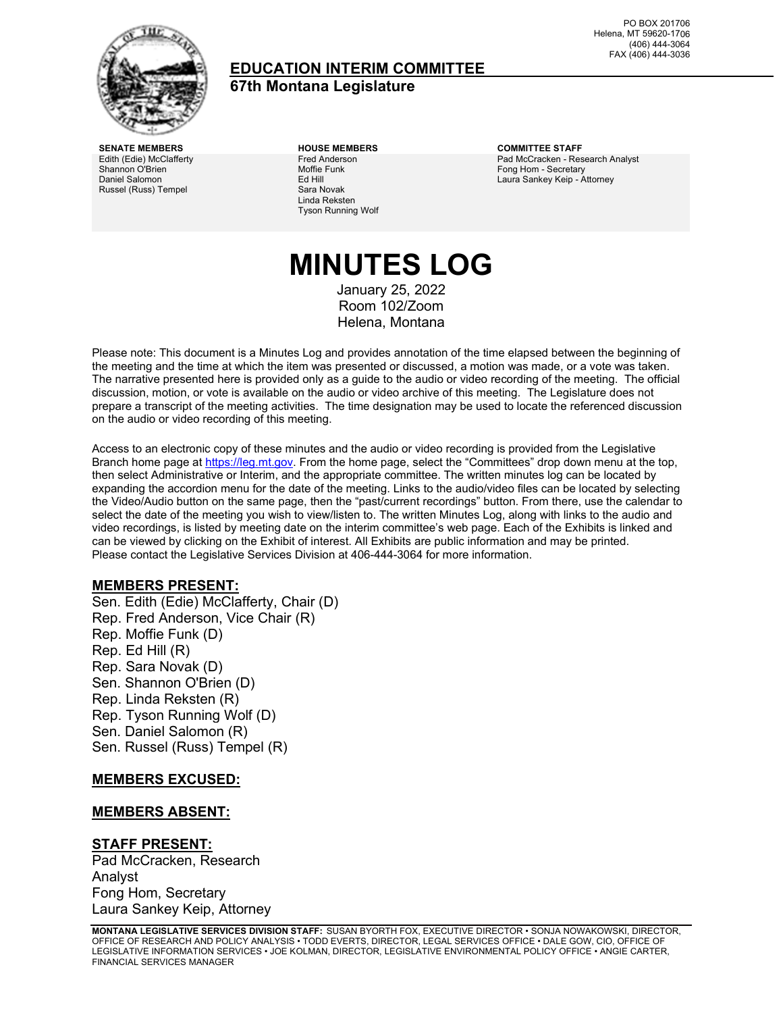

### **EDUCATION INTERIM COMMITTEE 67th Montana Legislature**

PO BOX 201706 Helena, MT 59620-1706 (406) 444-3064 FAX (406) 444-3036

**SENATE MEMBERS HOUSE MEMBERS COMMITTEE STAFF** Edith (Edie) McClafferty Shannon O'Brien Daniel Salomon Russel (Russ) Tempel

Fred Anderson Moffie Funk Ed Hill Sara Novak Linda Reksten Tyson Running Wolf

Pad McCracken - Research Analyst Fong Hom - Secretary Laura Sankey Keip - Attorney

# **MINUTES LOG**

January 25, 2022 Room 102/Zoom Helena, Montana

Please note: This document is a Minutes Log and provides annotation of the time elapsed between the beginning of the meeting and the time at which the item was presented or discussed, a motion was made, or a vote was taken. The narrative presented here is provided only as a guide to the audio or video recording of the meeting. The official discussion, motion, or vote is available on the audio or video archive of this meeting. The Legislature does not prepare a transcript of the meeting activities. The time designation may be used to locate the referenced discussion on the audio or video recording of this meeting.

Access to an electronic copy of these minutes and the audio or video recording is provided from the Legislative Branch home page a[t https://leg.mt.gov.](http://legmt.gov/) From the home page, select the "Committees" drop down menu at the top, then select Administrative or Interim, and the appropriate committee. The written minutes log can be located by expanding the accordion menu for the date of the meeting. Links to the audio/video files can be located by selecting the Video/Audio button on the same page, then the "past/current recordings" button. From there, use the calendar to select the date of the meeting you wish to view/listen to. The written Minutes Log, along with links to the audio and video recordings, is listed by meeting date on the interim committee's web page. Each of the Exhibits is linked and can be viewed by clicking on the Exhibit of interest. All Exhibits are public information and may be printed. Please contact the Legislative Services Division at 406-444-3064 for more information.

#### **MEMBERS PRESENT:**

Sen. Edith (Edie) McClafferty, Chair (D) Rep. Fred Anderson, Vice Chair (R) Rep. Moffie Funk (D) Rep. Ed Hill (R) Rep. Sara Novak (D) Sen. Shannon O'Brien (D) Rep. Linda Reksten (R) Rep. Tyson Running Wolf (D) Sen. Daniel Salomon (R) Sen. Russel (Russ) Tempel (R)

#### **MEMBERS EXCUSED:**

#### **MEMBERS ABSENT:**

#### **STAFF PRESENT:**

Pad McCracken, Research Analyst Fong Hom, Secretary Laura Sankey Keip, Attorney

**MONTANA LEGISLATIVE SERVICES DIVISION STAFF:** SUSAN BYORTH FOX, EXECUTIVE DIRECTOR • SONJA NOWAKOWSKI, DIRECTOR, OFFICE OF RESEARCH AND POLICY ANALYSIS • TODD EVERTS, DIRECTOR, LEGAL SERVICES OFFICE • DALE GOW, CIO, OFFICE OF LEGISLATIVE INFORMATION SERVICES • JOE KOLMAN, DIRECTOR, LEGISLATIVE ENVIRONMENTAL POLICY OFFICE • ANGIE CARTER, FINANCIAL SERVICES MANAGER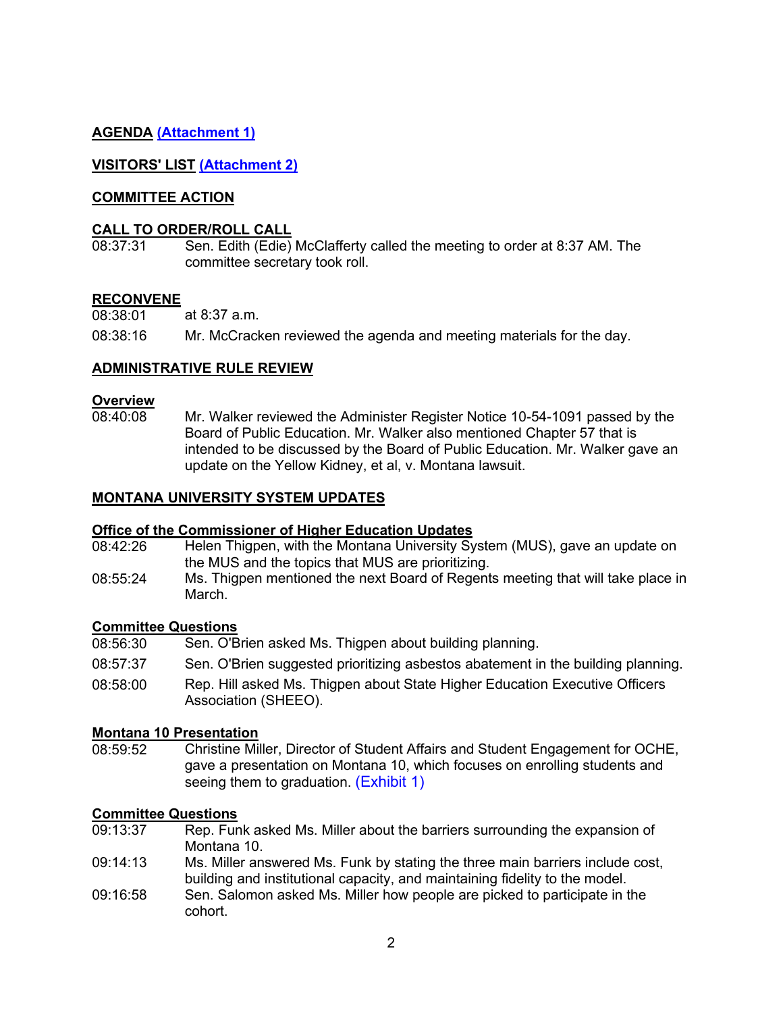### **AGENDA [\(Attachment 1\)](https://leg.mt.gov/content/Committees/Interim/2021-2022/Education/Meetings/January-2022/jan-2022-final-agenda.pdf)**

### **VISITORS' LIST [\(Attachment 2\)](https://leg.mt.gov/content/Committees/Interim/2021-2022/Education/Meetings/January-2022/Visitor_sign-in_25.pdf)**

### **COMMITTEE ACTION**

#### **CALL TO ORDER/ROLL CALL**

08:37:31 Sen. Edith (Edie) McClafferty called the meeting to order at 8:37 AM. The committee secretary took roll.

#### **RECONVENE**

08:38:01 at 8:37 a.m. 08:38:16 Mr. McCracken reviewed the agenda and meeting materials for the day.

#### **ADMINISTRATIVE RULE REVIEW**

### **Overview**<br>08:40:08

Mr. Walker reviewed the Administer Register Notice 10-54-1091 passed by the Board of Public Education. Mr. Walker also mentioned Chapter 57 that is intended to be discussed by the Board of Public Education. Mr. Walker gave an update on the Yellow Kidney, et al, v. Montana lawsuit.

#### **MONTANA UNIVERSITY SYSTEM UPDATES**

### **Office of the Commissioner of Higher Education Updates**<br>08:42:26 Helen Thigpen, with the Montana University Sy

- Helen Thigpen, with the Montana University System (MUS), gave an update on the MUS and the topics that MUS are prioritizing.
- 08:55:24 Ms. Thigpen mentioned the next Board of Regents meeting that will take place in March.

#### **Committee Questions**

08:56:30 Sen. O'Brien asked Ms. Thigpen about building planning. 08:57:37 Sen. O'Brien suggested prioritizing asbestos abatement in the building planning. 08:58:00 Rep. Hill asked Ms. Thigpen about State Higher Education Executive Officers Association (SHEEO).

### **Montana 10 Presentation**

Christine Miller, Director of Student Affairs and Student Engagement for OCHE, gave a presentation on Montana 10, which focuses on enrolling students and seeing them to graduation. (Exhibit 1)

### **Committee Questions**<br>09:13:37 Rep. Fur

- Rep. Funk asked Ms. Miller about the barriers surrounding the expansion of Montana 10.
- 09:14:13 Ms. Miller answered Ms. Funk by stating the three main barriers include cost, building and institutional capacity, and maintaining fidelity to the model.
- 09:16:58 Sen. Salomon asked Ms. Miller how people are picked to participate in the cohort.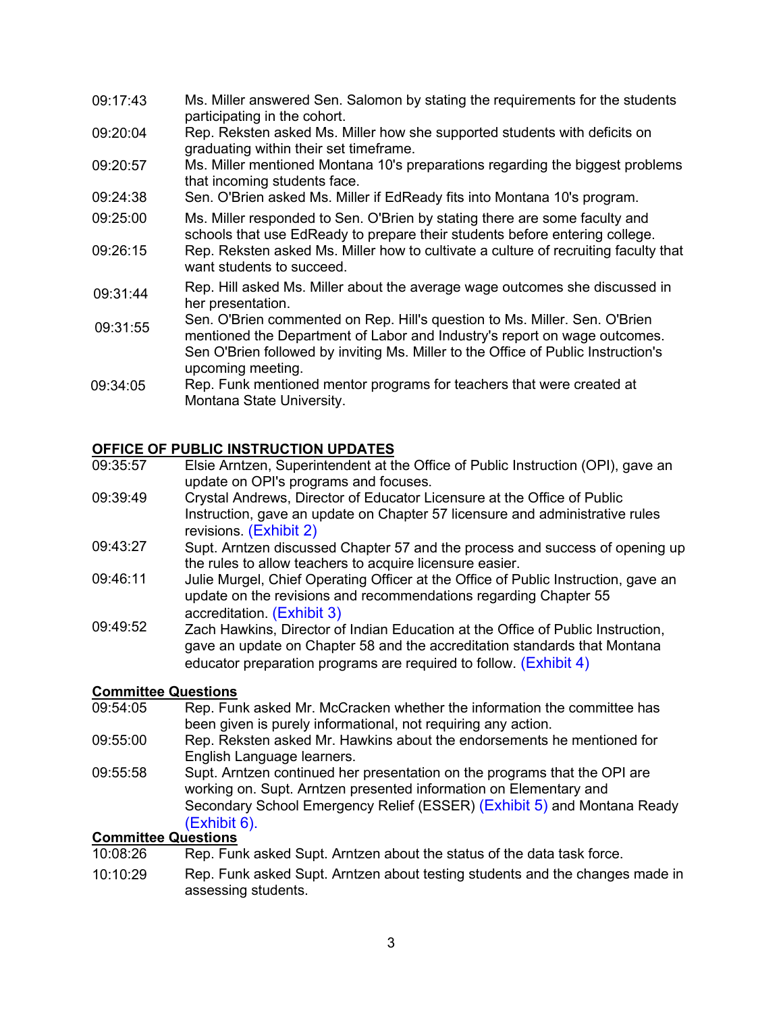- 09:17:43 Ms. Miller answered Sen. Salomon by stating the requirements for the students participating in the cohort.
- 09:20:04 Rep. Reksten asked Ms. Miller how she supported students with deficits on graduating within their set timeframe.
- 09:20:57 Ms. Miller mentioned Montana 10's preparations regarding the biggest problems that incoming students face.
- 09:24:38 Sen. O'Brien asked Ms. Miller if EdReady fits into Montana 10's program.
- 09:25:00 Ms. Miller responded to Sen. O'Brien by stating there are some faculty and schools that use EdReady to prepare their students before entering college.
- 09:26:15 Rep. Reksten asked Ms. Miller how to cultivate a culture of recruiting faculty that want students to succeed.
- 09:31:44 Rep. Hill asked Ms. Miller about the average wage outcomes she discussed in her presentation.
- 09:31:55 Sen. O'Brien commented on Rep. Hill's question to Ms. Miller. Sen. O'Brien mentioned the Department of Labor and Industry's report on wage outcomes. Sen O'Brien followed by inviting Ms. Miller to the Office of Public Instruction's upcoming meeting.
- 09:34:05 Rep. Funk mentioned mentor programs for teachers that were created at Montana State University.

### **OFFICE OF PUBLIC INSTRUCTION UPDATES**

- 09:35:57 Elsie Arntzen, Superintendent at the Office of Public Instruction (OPI), gave an update on OPI's programs and focuses.
- 09:39:49 Crystal Andrews, Director of Educator Licensure at the Office of Public Instruction, gave an update on Chapter 57 licensure and administrative rules revisions. [\(Exhibit](https://leg.mt.gov/content/Committees/Interim/2021-2022/Education/Meetings/January-2022/ch-57-update.pdf) 2)
- 09:43:27 Supt. Arntzen discussed Chapter 57 and the process and success of opening up the rules to allow teachers to acquire licensure easier.
- 09:46:11 Julie Murgel, Chief Operating Officer at the Office of Public Instruction, gave an update on the revisions and recommendations regarding Chapter 55 accreditation. [\(Exhibit](https://leg.mt.gov/content/Committees/Interim/2021-2022/Education/Meetings/January-2022/ch-55-update.pdf) 3)
- 09:49:52 Zach Hawkins, Director of Indian Education at the Office of Public Instruction, gave an update on Chapter 58 and the accreditation standards that Montana educator preparation programs are required to follow. [\(Exhibit 4\)](https://leg.mt.gov/content/Committees/Interim/2021-2022/Education/Meetings/January-2022/ch-58-update.pdf)

### **Committee Questions**

- 09:54:05 Rep. Funk asked Mr. McCracken whether the information the committee has been given is purely informational, not requiring any action.
- 09:55:00 Rep. Reksten asked Mr. Hawkins about the endorsements he mentioned for English Language learners.
- 09:55:58 Supt. Arntzen continued her presentation on the programs that the OPI are working on. Supt. Arntzen presented information on Elementary and Secondary School Emergency Relief (ESSER) [\(Exhibit 5\)](https://leg.mt.gov/content/Committees/Interim/2021-2022/Education/Meetings/January-2022/esser-funding-update-22-1-14.pdf) and Montana Ready [\(Exhibit](https://leg.mt.gov/content/Committees/Interim/2021-2022/Education/Meetings/January-2022/Exhibit_6.pdf) 6).

### **Committee Questions**<br>10:08:26 Rep. Fur

- Rep. Funk asked Supt. Arntzen about the status of the data task force.
- 10:10:29 Rep. Funk asked Supt. Arntzen about testing students and the changes made in assessing students.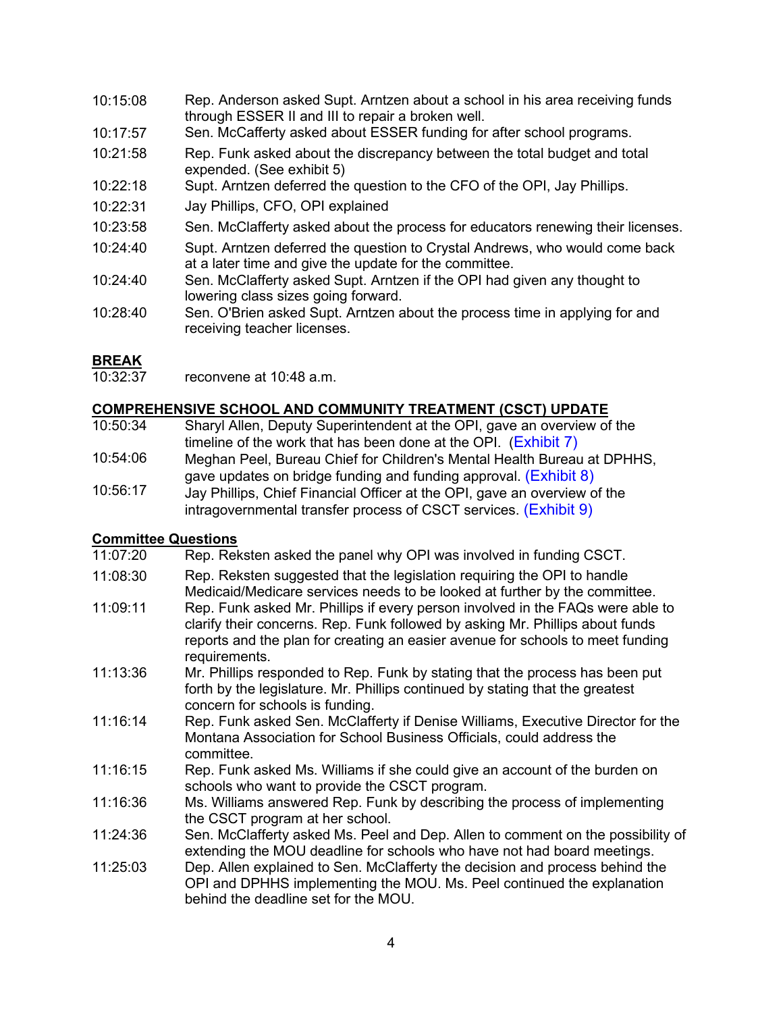- 10:15:08 Rep. Anderson asked Supt. Arntzen about a school in his area receiving funds through ESSER II and III to repair a broken well.
- 10:17:57 Sen. McCafferty asked about ESSER funding for after school programs.
- 10:21:58 Rep. Funk asked about the discrepancy between the total budget and total expended. (See exhibit 5)
- 10:22:18 Supt. Arntzen deferred the question to the CFO of the OPI, Jay Phillips.
- 10:22:31 Jay Phillips, CFO, OPI explained
- 10:23:58 Sen. McClafferty asked about the process for educators renewing their licenses.
- 10:24:40 Supt. Arntzen deferred the question to Crystal Andrews, who would come back at a later time and give the update for the committee.
- 10:24:40 Sen. McClafferty asked Supt. Arntzen if the OPI had given any thought to lowering class sizes going forward.
- 10:28:40 Sen. O'Brien asked Supt. Arntzen about the process time in applying for and receiving teacher licenses.

### **BREAK**<br>10:32:37

reconvene at 10:48 a.m.

#### **COMPREHENSIVE SCHOOL AND COMMUNITY TREATMENT (CSCT) UPDATE**

- 10:50:34 Sharyl Allen, Deputy Superintendent at the OPI, gave an overview of the timeline of the work that has been done at the OPI. (Exhibit 7)
- 10:54:06 Meghan Peel, Bureau Chief for Children's Mental Health Bureau at DPHHS, gave updates on bridge funding and funding approval. [\(Exhibit 8\)](https://leg.mt.gov/content/Committees/Interim/2021-2022/Education/Meetings/January-2022/csct-update.pdf)
- 10:56:17 Jay Phillips, Chief Financial Officer at the OPI, gave an overview of the
	- intragovernmental transfer process of CSCT services. [\(Exhibit 9\)](https://leg.mt.gov/content/Committees/Interim/2021-2022/Education/Meetings/January-2022/csct-new.pdf)

#### **Committee Questions**

- 11:07:20 Rep. Reksten asked the panel why OPI was involved in funding CSCT.
- 11:08:30 Rep. Reksten suggested that the legislation requiring the OPI to handle Medicaid/Medicare services needs to be looked at further by the committee.
- 11:09:11 Rep. Funk asked Mr. Phillips if every person involved in the FAQs were able to clarify their concerns. Rep. Funk followed by asking Mr. Phillips about funds reports and the plan for creating an easier avenue for schools to meet funding requirements.
- 11:13:36 Mr. Phillips responded to Rep. Funk by stating that the process has been put forth by the legislature. Mr. Phillips continued by stating that the greatest concern for schools is funding.
- 11:16:14 Rep. Funk asked Sen. McClafferty if Denise Williams, Executive Director for the Montana Association for School Business Officials, could address the committee.
- 11:16:15 Rep. Funk asked Ms. Williams if she could give an account of the burden on schools who want to provide the CSCT program.
- 11:16:36 Ms. Williams answered Rep. Funk by describing the process of implementing the CSCT program at her school.
- 11:24:36 Sen. McClafferty asked Ms. Peel and Dep. Allen to comment on the possibility of extending the MOU deadline for schools who have not had board meetings.
- 11:25:03 Dep. Allen explained to Sen. McClafferty the decision and process behind the OPI and DPHHS implementing the MOU. Ms. Peel continued the explanation behind the deadline set for the MOU.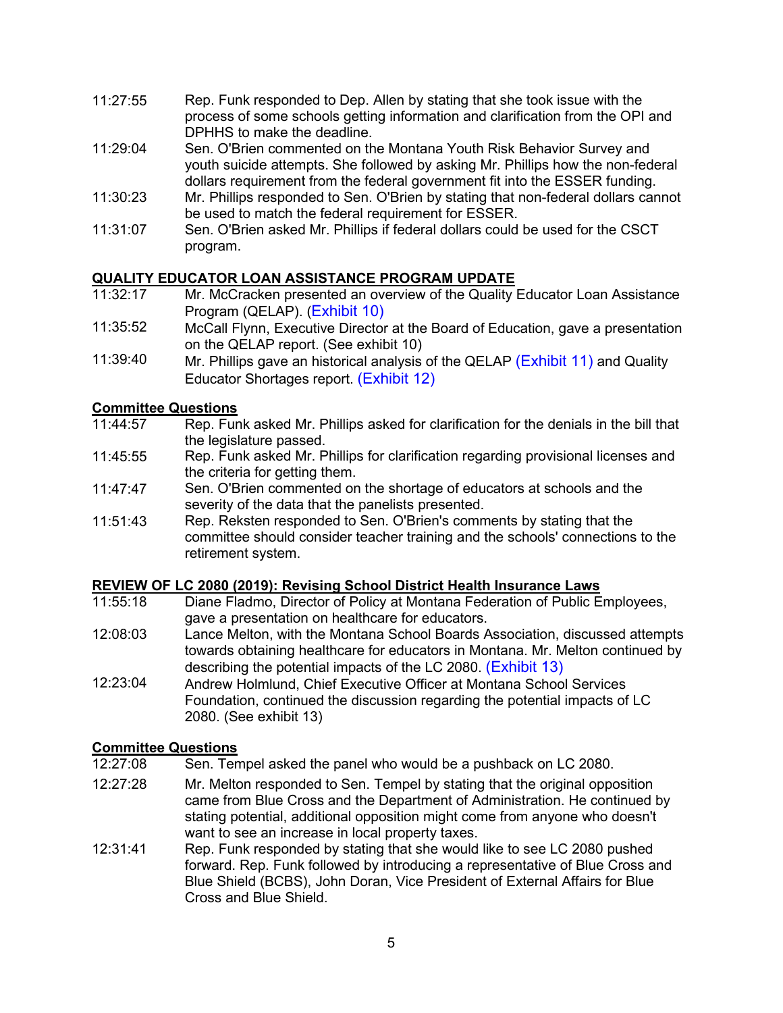- 11:27:55 Rep. Funk responded to Dep. Allen by stating that she took issue with the process of some schools getting information and clarification from the OPI and DPHHS to make the deadline.
- 11:29:04 Sen. O'Brien commented on the Montana Youth Risk Behavior Survey and youth suicide attempts. She followed by asking Mr. Phillips how the non-federal dollars requirement from the federal government fit into the ESSER funding.
- 11:30:23 Mr. Phillips responded to Sen. O'Brien by stating that non-federal dollars cannot be used to match the federal requirement for ESSER.
- 11:31:07 Sen. O'Brien asked Mr. Phillips if federal dollars could be used for the CSCT program.

### **QUALITY EDUCATOR LOAN ASSISTANCE PROGRAM UPDATE**

- 11:32:17 Mr. McCracken presented an overview of the Quality Educator Loan Assistance Program (QELAP). ([Exhibit 10\)](https://leg.mt.gov/content/Committees/Interim/2021-2022/Education/Meetings/January-2022/qe-shortage-report.pdf)
- 11:35:52 McCall Flynn, Executive Director at the Board of Education, gave a presentation on the QELAP report. (See exhibit 10)
- 11:39:40 Mr. Phillips gave an historical analysis of the QELAP [\(Exhibit 11\)](https://leg.mt.gov/content/Committees/Interim/2021-2022/Education/Meetings/January-2022/qelap_2020_2021_data.pdf) and Quality Educator Shortages report. [\(Exhibit](https://leg.mt.gov/content/Committees/Interim/2021-2022/Education/Meetings/January-2022/qe_shortages_data.pdf) 12)

### **Committee Questions**<br>11:44:57 Rep. Fun

- Rep. Funk asked Mr. Phillips asked for clarification for the denials in the bill that the legislature passed.
- 11:45:55 Rep. Funk asked Mr. Phillips for clarification regarding provisional licenses and the criteria for getting them.
- 11:47:47 Sen. O'Brien commented on the shortage of educators at schools and the severity of the data that the panelists presented.
- 11:51:43 Rep. Reksten responded to Sen. O'Brien's comments by stating that the committee should consider teacher training and the schools' connections to the retirement system.

### **REVIEW OF LC 2080 (2019): Revising School District Health Insurance Laws**

- 11:55:18 Diane Fladmo, Director of Policy at Montana Federation of Public Employees, gave a presentation on healthcare for educators.
- 12:08:03 Lance Melton, with the Montana School Boards Association, discussed attempts towards obtaining healthcare for educators in Montana. Mr. Melton continued by describing the potential impacts of the LC 2080. (Exhibit 13)
- 12:23:04 Andrew Holmlund, Chief Executive Officer at Montana School Services Foundation, continued the discussion regarding the potential impacts of LC 2080. (See exhibit 13)

## **Committee Questions**<br>12:27:08 Sen. Ten

- Sen. Tempel asked the panel who would be a pushback on LC 2080.
- 12:27:28 Mr. Melton responded to Sen. Tempel by stating that the original opposition came from Blue Cross and the Department of Administration. He continued by stating potential, additional opposition might come from anyone who doesn't want to see an increase in local property taxes.
- 12:31:41 Rep. Funk responded by stating that she would like to see LC 2080 pushed forward. Rep. Funk followed by introducing a representative of Blue Cross and Blue Shield (BCBS), John Doran, Vice President of External Affairs for Blue Cross and Blue Shield.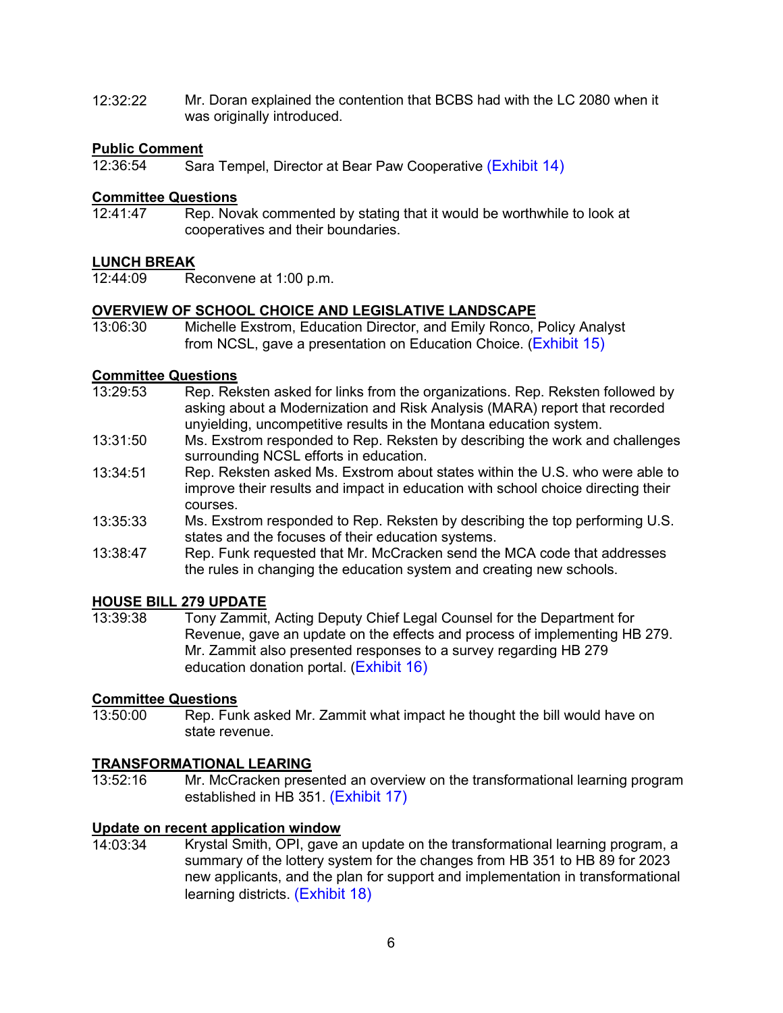12:32:22 Mr. Doran explained the contention that BCBS had with the LC 2080 when it was originally introduced.

### **Public Comment**<br>12:36:54 Sar

Sara Tempel, Director at Bear Paw Cooperative [\(Exhibit 14\)](https://leg.mt.gov/content/Committees/Interim/2021-2022/Education/Meetings/January-2022/Exhibit_14.pdf)

#### **Committee Questions**

12:41:47 Rep. Novak commented by stating that it would be worthwhile to look at cooperatives and their boundaries.

### LUNCH BREAK<br>12:44:09 Re

Reconvene at 1:00 p.m.

#### **OVERVIEW OF SCHOOL CHOICE AND LEGISLATIVE LANDSCAPE**

13:06:30 Michelle Exstrom, Education Director, and Emily Ronco, Policy Analyst from NCSL, gave a presentation on Education Choice. ([Exhibit 15\)](https://leg.mt.gov/content/Committees/Interim/2021-2022/Education/Meetings/January-2022/NCSL-school-choice.pdf) 

### **Committee Questions**<br>13:29:53 Rep Rek

- Rep. Reksten asked for links from the organizations. Rep. Reksten followed by asking about a Modernization and Risk Analysis (MARA) report that recorded unyielding, uncompetitive results in the Montana education system.
- 13:31:50 Ms. Exstrom responded to Rep. Reksten by describing the work and challenges surrounding NCSL efforts in education.
- 13:34:51 Rep. Reksten asked Ms. Exstrom about states within the U.S. who were able to improve their results and impact in education with school choice directing their courses.
- 13:35:33 Ms. Exstrom responded to Rep. Reksten by describing the top performing U.S. states and the focuses of their education systems.
- 13:38:47 Rep. Funk requested that Mr. McCracken send the MCA code that addresses the rules in changing the education system and creating new schools.

### **HOUSE BILL 279 UPDATE**

13:39:38 Tony Zammit, Acting Deputy Chief Legal Counsel for the Department for Revenue, gave an update on the effects and process of implementing HB 279. Mr. Zammit also presented responses to a survey regarding HB 279 education donation portal. ([Exhibit](https://leg.mt.gov/content/Committees/Interim/2021-2022/Education/Meetings/January-2022/combined_ex_16.pdf) 16)

### **Committee Questions**<br>13:50:00 Rep. Fun

Rep. Funk asked Mr. Zammit what impact he thought the bill would have on state revenue.

### **TRANSFORMATIONAL LEARING**

Mr. McCracken presented an overview on the transformational learning program established in HB 351. [\(Exhibit 17\)](https://leg.mt.gov/content/Committees/Interim/2021-2022/Education/Meetings/January-2022/tl-memo-jan-2022.pdf) 

#### **Update on recent application window**

14:03:34 Krystal Smith, OPI, gave an update on the transformational learning program, a summary of the lottery system for the changes from HB 351 to HB 89 for 2023 new applicants, and the plan for support and implementation in transformational learning districts. [\(Exhibit 18\)](https://leg.mt.gov/content/Committees/Interim/2021-2022/Education/Meetings/January-2022/tl-ranking-list.pdf)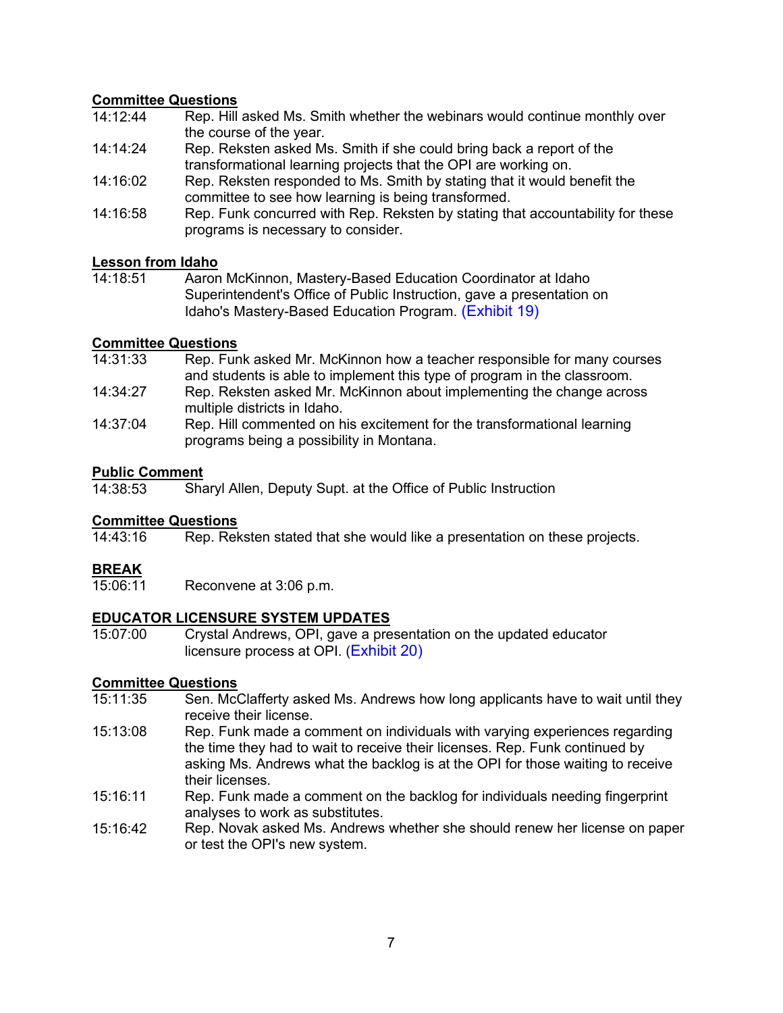### **Committee Questions**<br>14:12:44 Rep Hill

- Rep. Hill asked Ms. Smith whether the webinars would continue monthly over the course of the year.
- 14:14:24 Rep. Reksten asked Ms. Smith if she could bring back a report of the transformational learning projects that the OPI are working on.
- 14:16:02 Rep. Reksten responded to Ms. Smith by stating that it would benefit the committee to see how learning is being transformed.
- 14:16:58 Rep. Funk concurred with Rep. Reksten by stating that accountability for these programs is necessary to consider.

### **Lesson from Idaho**

Aaron McKinnon, Mastery-Based Education Coordinator at Idaho Superintendent's Office of Public Instruction, gave a presentation on Idaho's Mastery-Based Education Program. [\(Exhibit 19\)](https://leg.mt.gov/content/Committees/Interim/2021-2022/Education/Meetings/January-2022/montana-interim-ed-committee-id-mbe-progress.pdf) 

### **Committee Questions**

- Rep. Funk asked Mr. McKinnon how a teacher responsible for many courses and students is able to implement this type of program in the classroom.
- 14:34:27 Rep. Reksten asked Mr. McKinnon about implementing the change across multiple districts in Idaho.
- 14:37:04 Rep. Hill commented on his excitement for the transformational learning programs being a possibility in Montana.

### **Public Comment**<br>14:38:53 Sha

Sharyl Allen, Deputy Supt. at the Office of Public Instruction

### **Committee Questions**<br>14:43:16 Rep. Rel

Rep. Reksten stated that she would like a presentation on these projects.

**BREAK**<br>15:06:11 Reconvene at 3:06 p.m.

### **EDUCATOR LICENSURE SYSTEM UPDATES**

Crystal Andrews, OPI, gave a presentation on the updated educator licensure process at OPI. ([Exhibit 20\)](https://leg.mt.gov/content/Committees/Interim/2021-2022/Education/Meetings/January-2022/licensure-update.pdf) 

### **Committee Questions**<br>15:11:35 **Sen. Mc**

- Sen. McClafferty asked Ms. Andrews how long applicants have to wait until they receive their license.
- 15:13:08 Rep. Funk made a comment on individuals with varying experiences regarding the time they had to wait to receive their licenses. Rep. Funk continued by asking Ms. Andrews what the backlog is at the OPI for those waiting to receive their licenses.
- 15:16:11 Rep. Funk made a comment on the backlog for individuals needing fingerprint analyses to work as substitutes.
- 15:16:42 Rep. Novak asked Ms. Andrews whether she should renew her license on paper or test the OPI's new system.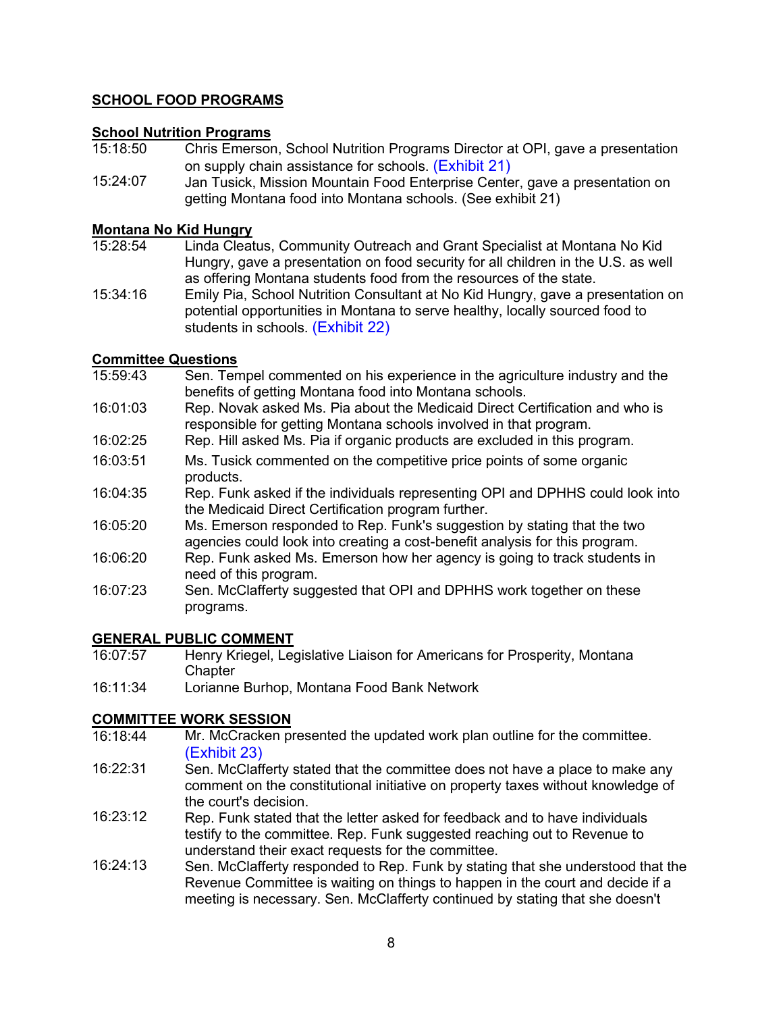### **SCHOOL FOOD PROGRAMS**

#### **School Nutrition Programs**

- 15:18:50 Chris Emerson, School Nutrition Programs Director at OPI, gave a presentation on supply chain assistance for schools. [\(Exhibit 21\)](https://leg.mt.gov/content/Committees/Interim/2021-2022/Education/Meetings/January-2022/Exhibit_21.pdf)
- 15:24:07 Jan Tusick, Mission Mountain Food Enterprise Center, gave a presentation on getting Montana food into Montana schools. (See exhibit 21)

#### **Montana No Kid Hungry**

- 15:28:54 Linda Cleatus, Community Outreach and Grant Specialist at Montana No Kid Hungry, gave a presentation on food security for all children in the U.S. as well as offering Montana students food from the resources of the state.
- 15:34:16 Emily Pia, School Nutrition Consultant at No Kid Hungry, gave a presentation on potential opportunities in Montana to serve healthy, locally sourced food to students in schools. [\(Exhibit 22\)](https://leg.mt.gov/content/Committees/Interim/2021-2022/Education/Meetings/January-2022/Exhibit_22.pdf)

#### **Committee Questions**

- 15:59:43 Sen. Tempel commented on his experience in the agriculture industry and the benefits of getting Montana food into Montana schools.
- 16:01:03 Rep. Novak asked Ms. Pia about the Medicaid Direct Certification and who is responsible for getting Montana schools involved in that program.
- 16:02:25 Rep. Hill asked Ms. Pia if organic products are excluded in this program.
- 16:03:51 Ms. Tusick commented on the competitive price points of some organic products.
- 16:04:35 Rep. Funk asked if the individuals representing OPI and DPHHS could look into the Medicaid Direct Certification program further.
- 16:05:20 Ms. Emerson responded to Rep. Funk's suggestion by stating that the two agencies could look into creating a cost-benefit analysis for this program.
- 16:06:20 Rep. Funk asked Ms. Emerson how her agency is going to track students in need of this program.
- 16:07:23 Sen. McClafferty suggested that OPI and DPHHS work together on these programs.

### **GENERAL PUBLIC COMMENT**<br>16:07:57 Henry Kriegel, Leg

- Henry Kriegel, Legislative Liaison for Americans for Prosperity, Montana **Chapter**
- 16:11:34 Lorianne Burhop, Montana Food Bank Network

### **COMMITTEE WORK SESSION**

- 16:18:44 Mr. McCracken presented the updated work plan outline for the committee. [\(Exhibit 23\)](https://leg.mt.gov/content/Committees/Interim/2021-2022/Education/Meetings/January-2022/edic-work-plan-outline-jan-2022.pdf)
- 16:22:31 Sen. McClafferty stated that the committee does not have a place to make any comment on the constitutional initiative on property taxes without knowledge of the court's decision.
- 16:23:12 Rep. Funk stated that the letter asked for feedback and to have individuals testify to the committee. Rep. Funk suggested reaching out to Revenue to understand their exact requests for the committee.
- 16:24:13 Sen. McClafferty responded to Rep. Funk by stating that she understood that the Revenue Committee is waiting on things to happen in the court and decide if a meeting is necessary. Sen. McClafferty continued by stating that she doesn't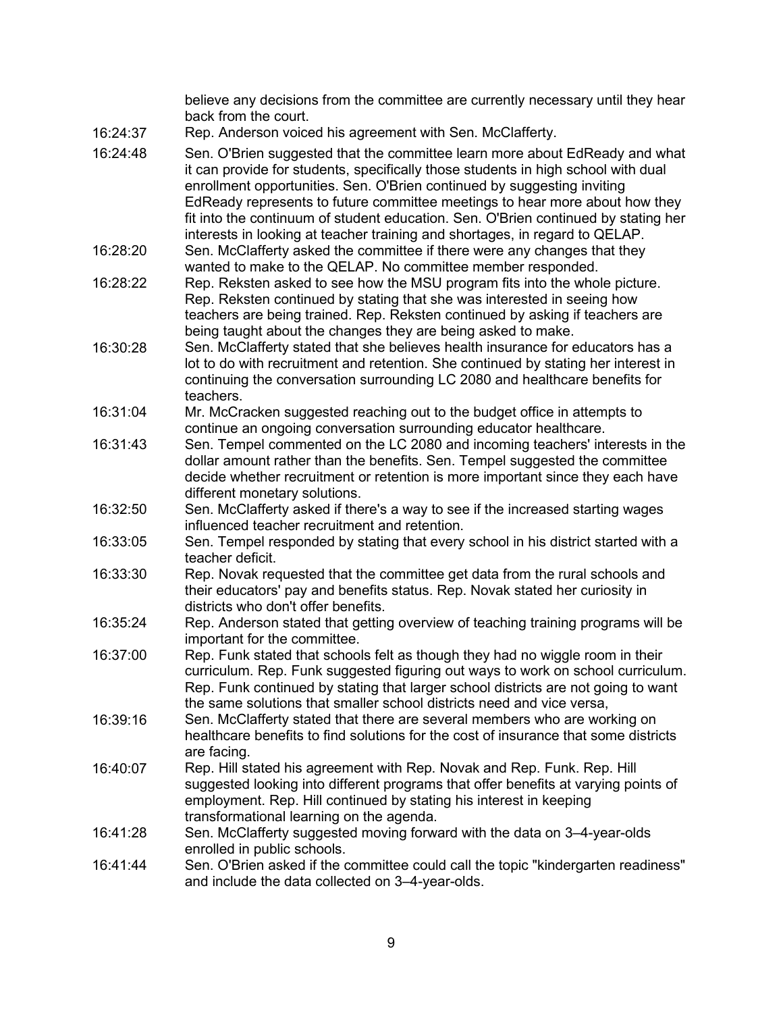believe any decisions from the committee are currently necessary until they hear back from the court. 16:24:37 Rep. Anderson voiced his agreement with Sen. McClafferty. 16:24:48 Sen. O'Brien suggested that the committee learn more about EdReady and what it can provide for students, specifically those students in high school with dual enrollment opportunities. Sen. O'Brien continued by suggesting inviting EdReady represents to future committee meetings to hear more about how they fit into the continuum of student education. Sen. O'Brien continued by stating her interests in looking at teacher training and shortages, in regard to QELAP. 16:28:20 Sen. McClafferty asked the committee if there were any changes that they wanted to make to the QELAP. No committee member responded. 16:28:22 Rep. Reksten asked to see how the MSU program fits into the whole picture. Rep. Reksten continued by stating that she was interested in seeing how teachers are being trained. Rep. Reksten continued by asking if teachers are being taught about the changes they are being asked to make. 16:30:28 Sen. McClafferty stated that she believes health insurance for educators has a lot to do with recruitment and retention. She continued by stating her interest in continuing the conversation surrounding LC 2080 and healthcare benefits for teachers. 16:31:04 Mr. McCracken suggested reaching out to the budget office in attempts to continue an ongoing conversation surrounding educator healthcare. 16:31:43 Sen. Tempel commented on the LC 2080 and incoming teachers' interests in the dollar amount rather than the benefits. Sen. Tempel suggested the committee decide whether recruitment or retention is more important since they each have different monetary solutions. 16:32:50 Sen. McClafferty asked if there's a way to see if the increased starting wages influenced teacher recruitment and retention. 16:33:05 Sen. Tempel responded by stating that every school in his district started with a teacher deficit. 16:33:30 Rep. Novak requested that the committee get data from the rural schools and their educators' pay and benefits status. Rep. Novak stated her curiosity in districts who don't offer benefits. 16:35:24 Rep. Anderson stated that getting overview of teaching training programs will be important for the committee. 16:37:00 Rep. Funk stated that schools felt as though they had no wiggle room in their curriculum. Rep. Funk suggested figuring out ways to work on school curriculum. Rep. Funk continued by stating that larger school districts are not going to want the same solutions that smaller school districts need and vice versa, 16:39:16 Sen. McClafferty stated that there are several members who are working on healthcare benefits to find solutions for the cost of insurance that some districts are facing. 16:40:07 Rep. Hill stated his agreement with Rep. Novak and Rep. Funk. Rep. Hill suggested looking into different programs that offer benefits at varying points of employment. Rep. Hill continued by stating his interest in keeping transformational learning on the agenda. 16:41:28 Sen. McClafferty suggested moving forward with the data on 3–4-year-olds enrolled in public schools. 16:41:44 Sen. O'Brien asked if the committee could call the topic "kindergarten readiness" and include the data collected on 3–4-year-olds.